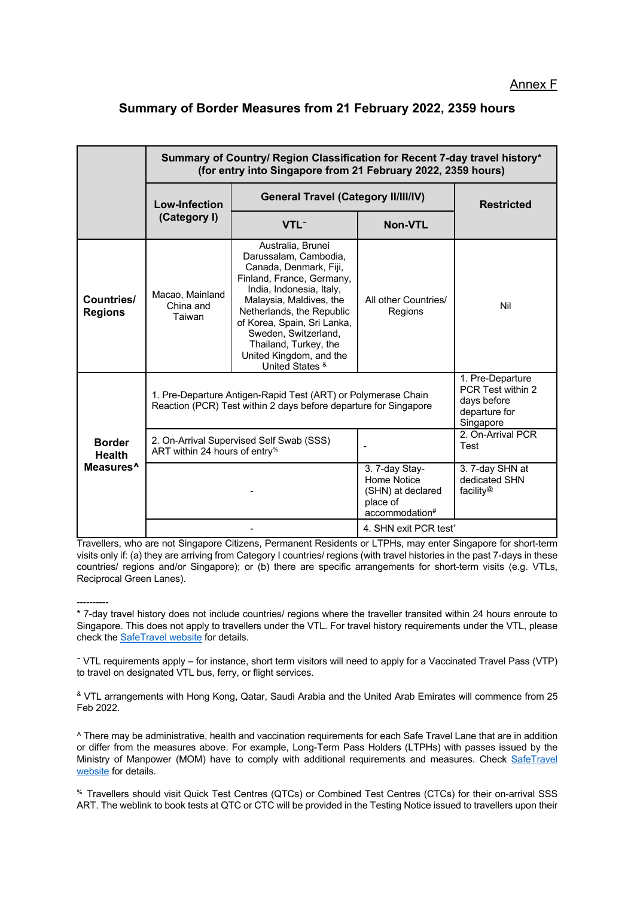## **Summary of Border Measures from 21 February 2022, 2359 hours**

|                                                         | Summary of Country/ Region Classification for Recent 7-day travel history*<br>(for entry into Singapore from 21 February 2022, 2359 hours) |                                                                                                                                                                                                                                                                                                                     |                                                                                  |                                                                                    |
|---------------------------------------------------------|--------------------------------------------------------------------------------------------------------------------------------------------|---------------------------------------------------------------------------------------------------------------------------------------------------------------------------------------------------------------------------------------------------------------------------------------------------------------------|----------------------------------------------------------------------------------|------------------------------------------------------------------------------------|
|                                                         | <b>Low-Infection</b><br>(Category I)                                                                                                       | <b>General Travel (Category II/III/IV)</b>                                                                                                                                                                                                                                                                          |                                                                                  | <b>Restricted</b>                                                                  |
|                                                         |                                                                                                                                            | VTL <sup>~</sup>                                                                                                                                                                                                                                                                                                    | <b>Non-VTL</b>                                                                   |                                                                                    |
| Countries/<br><b>Regions</b>                            | Macao, Mainland<br>China and<br>Taiwan                                                                                                     | Australia, Brunei<br>Darussalam, Cambodia,<br>Canada, Denmark, Fiji,<br>Finland, France, Germany,<br>India, Indonesia, Italy,<br>Malaysia, Maldives, the<br>Netherlands, the Republic<br>of Korea, Spain, Sri Lanka,<br>Sweden, Switzerland,<br>Thailand, Turkey, the<br>United Kingdom, and the<br>United States & | All other Countries/<br>Regions                                                  | Nil                                                                                |
| <b>Border</b><br><b>Health</b><br>Measures <sup>^</sup> | 1. Pre-Departure Antigen-Rapid Test (ART) or Polymerase Chain<br>Reaction (PCR) Test within 2 days before departure for Singapore          |                                                                                                                                                                                                                                                                                                                     |                                                                                  | 1. Pre-Departure<br>PCR Test within 2<br>days before<br>departure for<br>Singapore |
|                                                         | 2. On-Arrival Supervised Self Swab (SSS)<br>ART within 24 hours of entry <sup>%</sup>                                                      |                                                                                                                                                                                                                                                                                                                     |                                                                                  | 2. On-Arrival PCR<br>Test                                                          |
|                                                         |                                                                                                                                            |                                                                                                                                                                                                                                                                                                                     | 3. 7-day Stay-<br>Home Notice<br>(SHN) at declared<br>place of<br>accommodation# | 3. 7-day SHN at<br>dedicated SHN<br>facility <sup>@</sup>                          |
|                                                         |                                                                                                                                            |                                                                                                                                                                                                                                                                                                                     | 4. SHN exit PCR test <sup>+</sup>                                                |                                                                                    |

Travellers, who are not Singapore Citizens, Permanent Residents or LTPHs, may enter Singapore for short-term visits only if: (a) they are arriving from Category I countries/ regions (with travel histories in the past 7-days in these countries/ regions and/or Singapore); or (b) there are specific arrangements for short-term visits (e.g. VTLs, Reciprocal Green Lanes).

---------- \* 7-day travel history does not include countries/ regions where the traveller transited within 24 hours enroute to Singapore. This does not apply to travellers under the VTL. For travel history requirements under the VTL, please check the SafeTravel website for details.

<sup>~</sup> VTL requirements apply – for instance, short term visitors will need to apply for a Vaccinated Travel Pass (VTP) to travel on designated VTL bus, ferry, or flight services.

& VTL arrangements with Hong Kong, Qatar, Saudi Arabia and the United Arab Emirates will commence from 25 Feb 2022.

^ There may be administrative, health and vaccination requirements for each Safe Travel Lane that are in addition or differ from the measures above. For example, Long-Term Pass Holders (LTPHs) with passes issued by the Ministry of Manpower (MOM) have to comply with additional requirements and measures. Check SafeTravel website for details.

% Travellers should visit Quick Test Centres (QTCs) or Combined Test Centres (CTCs) for their on-arrival SSS ART. The weblink to book tests at QTC or CTC will be provided in the Testing Notice issued to travellers upon their